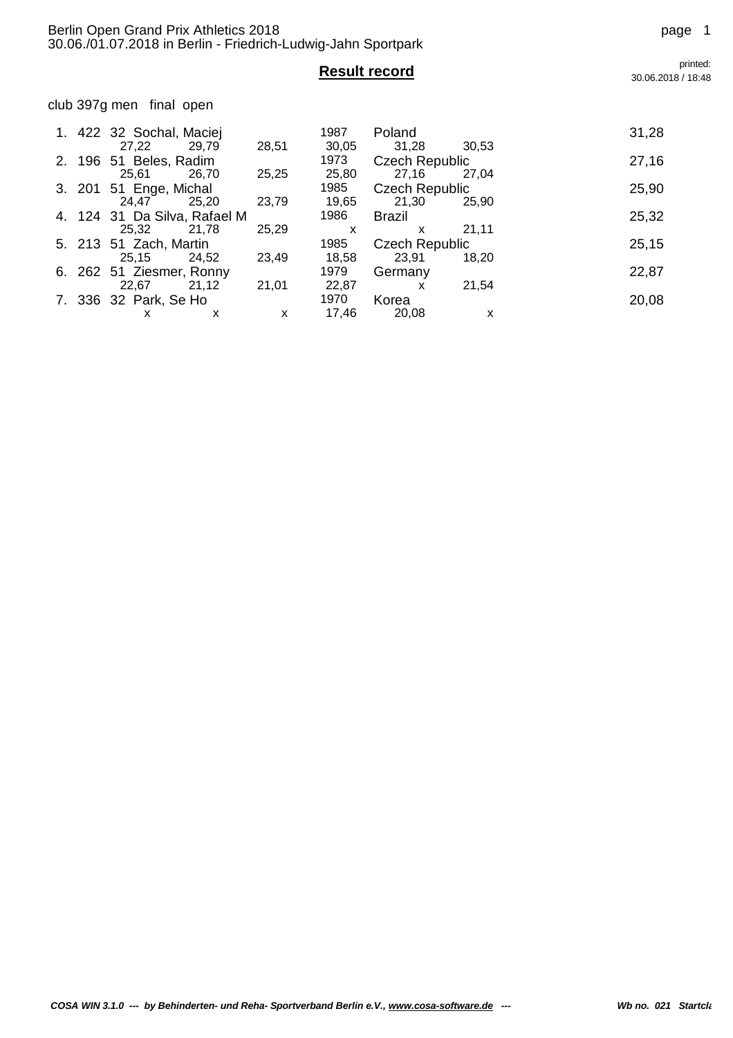club 397g men final open

|    |        | 1. 422 32 Sochal, Maciej<br>27,22<br>29.79     | 28,51      | 1987<br>30,05          | Poland<br>31,28                       | 30.53      | 31,28 |
|----|--------|------------------------------------------------|------------|------------------------|---------------------------------------|------------|-------|
|    | 2. 196 | 51 Beles, Radim<br>25,61<br>26.70              | 25,25      | 1973<br>25,80          | <b>Czech Republic</b><br>27,16        | 27,04      | 27,16 |
|    | 3. 201 | 51 Enge, Michal<br>24,47<br>25,20              | 23,79      | 1985<br>19,65          | <b>Czech Republic</b><br>21,30        | 25.90      | 25,90 |
|    |        | 4. 124 31 Da Silva, Rafael M                   |            | 1986                   | Brazil                                |            | 25,32 |
|    |        | 25,32<br>21.78<br>5. 213 51 Zach, Martin       | 25,29      | X<br>1985              | $\mathsf{x}$<br><b>Czech Republic</b> | 21,11      | 25,15 |
|    | 6. 262 | 25,15<br>24.52<br>51 Ziesmer, Ronny            | 23,49      | 18,58<br>1979          | 23,91<br>Germany                      | 18.20      | 22,87 |
| 7. |        | 21,12<br>22,67<br>336 32 Park, Se Ho<br>X<br>х | 21,01<br>X | 22,87<br>1970<br>17,46 | x<br>Korea<br>20,08                   | 21,54<br>x | 20,08 |

**Result record** printed: 30.06.2018 / 18:48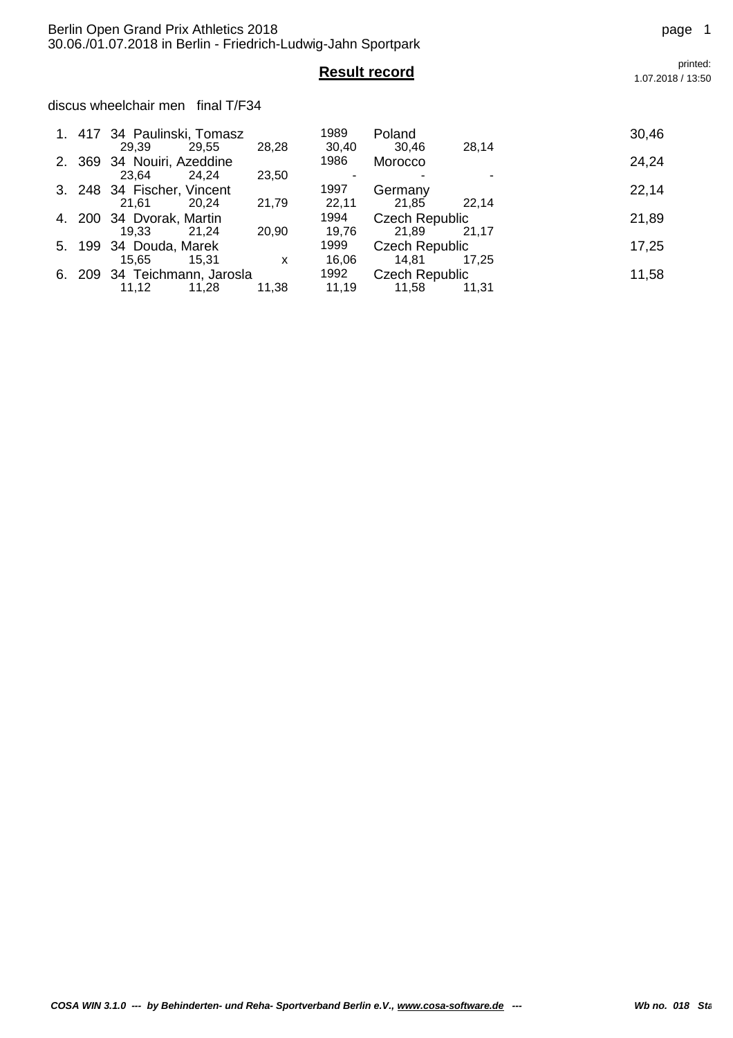*COSA WIN* 3.1.0 --- by Behinderten- und Reha- Sportverband Berlin e.V., www.cosa-software.de --- Wh no. 018 Sta

|        | 1. 417 34 Paulinski, Tomasz<br>29,55<br>29.39  | 28,28 | 1989<br>30,40 | Poland<br>30,46                | 28,14 | 30,46 |
|--------|------------------------------------------------|-------|---------------|--------------------------------|-------|-------|
|        | 2. 369 34 Nouiri, Azeddine<br>23.64<br>24.24   | 23,50 | 1986          | Morocco                        |       | 24,24 |
|        | 3. 248 34 Fischer, Vincent<br>21.61<br>20.24   | 21,79 | 1997<br>22,11 | Germany<br>21,85               | 22.14 | 22,14 |
|        | 4. 200 34 Dvorak, Martin<br>19.33<br>21.24     | 20,90 | 1994<br>19,76 | <b>Czech Republic</b><br>21,89 | 21.17 | 21,89 |
| 5. 199 | 34 Douda, Marek<br>15.65<br>15,31              | x     | 1999<br>16,06 | <b>Czech Republic</b><br>14,81 | 17.25 | 17,25 |
|        | 6. 209 34 Teichmann, Jarosla<br>11,12<br>11,28 | 11,38 | 1992<br>11,19 | <b>Czech Republic</b><br>11,58 | 11.31 | 11,58 |

**Result record** printed:<br>1.07.2018/13:50 1.07.2018 / 13:50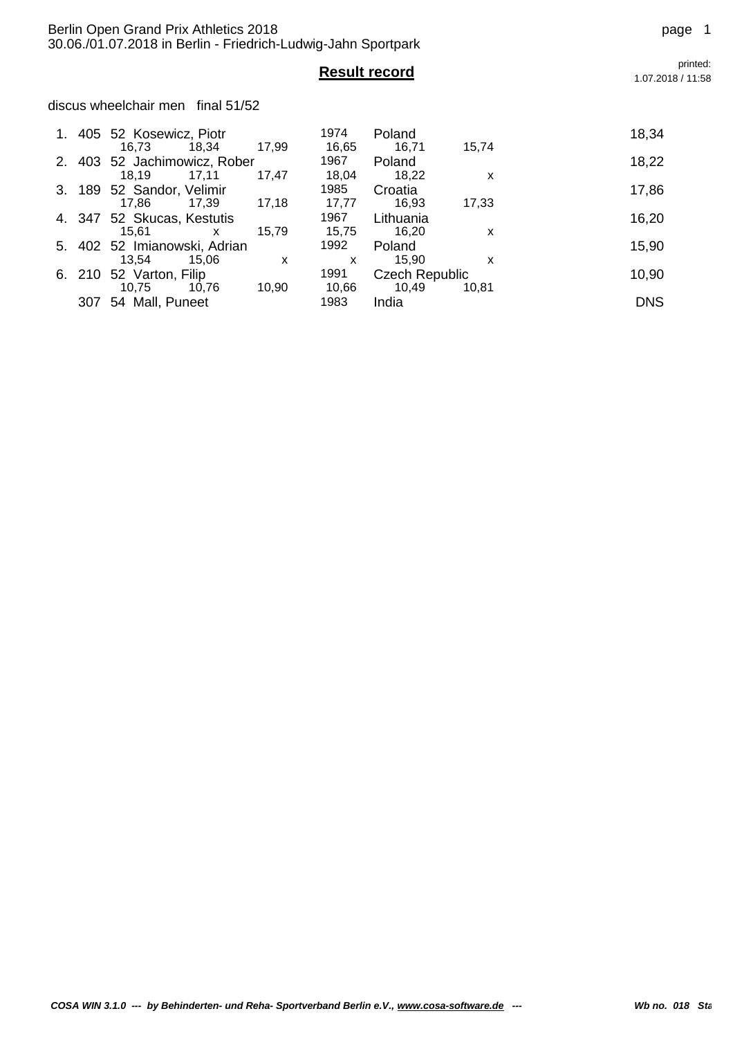**Result record** printed:<br>1.07.2018/11:58

discus wheelchair men final 51/52

|    |        | 1. 405 52 Kosewicz, Piotr<br>16.73<br>18.34    | 17.99 | 1974<br>16,65 | Poland<br>16,71                | 15.74 | 18,34      |
|----|--------|------------------------------------------------|-------|---------------|--------------------------------|-------|------------|
| 2. | 403    | 52 Jachimowicz, Rober                          |       | 1967          | Poland                         |       | 18,22      |
|    | 3. 189 | 18.19<br>17,11<br>52 Sandor, Velimir           | 17,47 | 18,04<br>1985 | 18,22<br>Croatia               | x     | 17,86      |
|    | 4. 347 | 17.86<br>17.39<br>52 Skucas, Kestutis          | 17,18 | 17.77<br>1967 | 16,93<br>Lithuania             | 17,33 | 16,20      |
|    |        | 15,61<br>X                                     | 15,79 | 15,75<br>1992 | 16,20                          | x     |            |
|    |        | 5. 402 52 Imianowski, Adrian<br>13.54<br>15.06 | x     | X             | Poland<br>15.90                | x     | 15,90      |
| 6. | 210    | 52 Varton, Filip<br>10,75<br>10.76             | 10,90 | 1991<br>10,66 | <b>Czech Republic</b><br>10,49 | 10,81 | 10,90      |
|    | 307    | 54 Mall, Puneet                                |       | 1983          | India                          |       | <b>DNS</b> |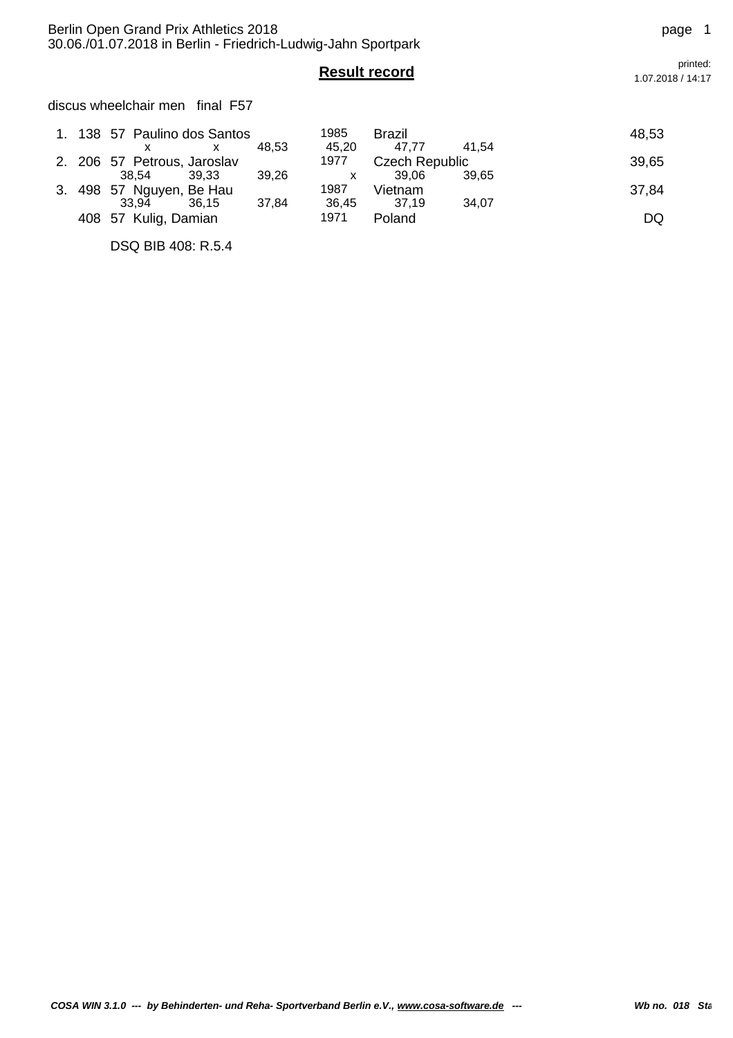discus wheelchair men final F57

|  | 1. 138 57 Paulino dos Santos |       |       | 1985  | Brazil         |       | 48,53 |
|--|------------------------------|-------|-------|-------|----------------|-------|-------|
|  |                              | x     | 48.53 | 45.20 | 47.77          | 41.54 |       |
|  | 2. 206 57 Petrous, Jaroslav  |       |       | 1977  | Czech Republic |       | 39,65 |
|  | 38.54                        | 39.33 | 39.26 |       | 39.06          | 39.65 |       |
|  | 3. 498 57 Nguyen, Be Hau     |       |       | 1987  | Vietnam        |       | 37,84 |
|  | 33.94                        | 36.15 | 37.84 | 36.45 | 37.19          | 34.07 |       |
|  | 408 57 Kulig, Damian         |       |       | 1971  | Poland         |       | DQ    |

DSQ BIB 408: R.5.4

**Result record** printed:<br>1.07.2018/14:17 1.07.2018 / 14:17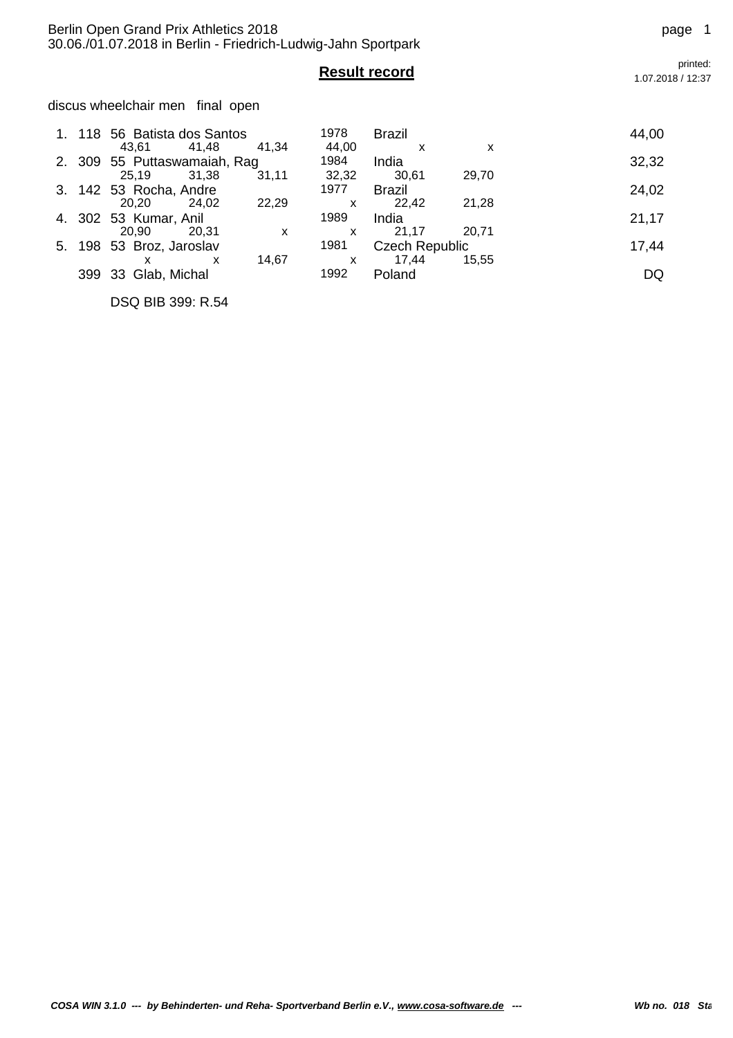## discus wheelchair men final open

|    |     | 118 56 Batista dos Santos                      |       | 1978          | <b>Brazil</b>         |       | 44,00 |
|----|-----|------------------------------------------------|-------|---------------|-----------------------|-------|-------|
|    |     | 43.61<br>41.48<br>2. 309 55 Puttaswamaiah, Rag | 41.34 | 44.00<br>1984 | x<br>India            | x     | 32,32 |
|    |     | 25.19<br>31.38                                 | 31,11 | 32,32         | 30,61                 | 29,70 |       |
|    |     | 3. 142 53 Rocha, Andre                         |       | 1977          | Brazil                |       | 24,02 |
|    |     | 20.20<br>24,02                                 | 22,29 | X             | 22.42                 | 21,28 |       |
|    |     | 4. 302 53 Kumar, Anil                          |       | 1989          | India                 |       | 21,17 |
|    |     | 20.90<br>20.31                                 | x     | X             | 21.17                 | 20.71 |       |
| 5. |     | 198 53 Broz, Jaroslav                          |       | 1981          | <b>Czech Republic</b> |       | 17,44 |
|    |     | x<br>x                                         | 14,67 | X             | 17,44                 | 15.55 |       |
|    | 399 | 33 Glab, Michal                                |       | 1992          | Poland                |       | DQ    |

DSQ BIB 399: R.54

1.07.2018 / 12:37

# **Result record** printed:<br>1.07.2018/12:37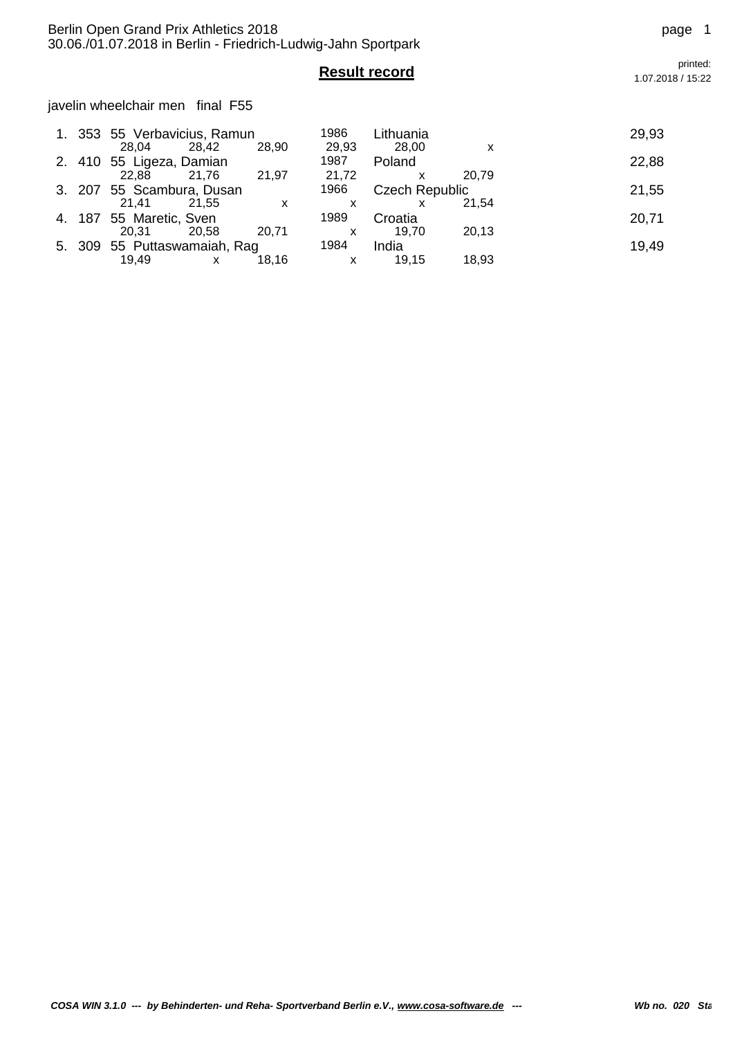javelin wheelchair men final F55

|        | 1. 353 55 Verbavicius, Ramun |       |       | 1986                      | Lithuania             |       | 29,93 |
|--------|------------------------------|-------|-------|---------------------------|-----------------------|-------|-------|
|        | 28.04                        | 28.42 | 28,90 | 29,93<br>1987             | 28,00                 | x     |       |
| 2. 410 | 55 Ligeza, Damian            |       |       |                           | Poland                |       | 22,88 |
|        | 22.88                        | 21.76 | 21,97 | 21,72                     |                       | 20.79 |       |
|        | 3. 207 55 Scambura, Dusan    |       |       | 1966                      | <b>Czech Republic</b> |       | 21,55 |
|        | 21.41                        | 21.55 | X     |                           |                       | 21.54 |       |
|        | 4. 187 55 Maretic, Sven      |       |       | 1989                      | Croatia               |       | 20,71 |
|        | 20.31                        | 20,58 | 20,71 | x                         | 19.70                 | 20,13 |       |
|        | 5. 309 55 Puttaswamaiah, Rag |       |       | 1984                      | India                 |       | 19,49 |
|        | 19,49                        |       | 18.16 | $\boldsymbol{\mathsf{x}}$ | 19.15                 | 18,93 |       |

*COSA WIN* 3.1.0 --- by Behinderten- und Reha- Sportverband Berlin e.V., www.cosa-software.de --- Wh no. 020 Sta

**Result record** printed:<br>1.07.2018/15:22 1.07.2018 / 15:22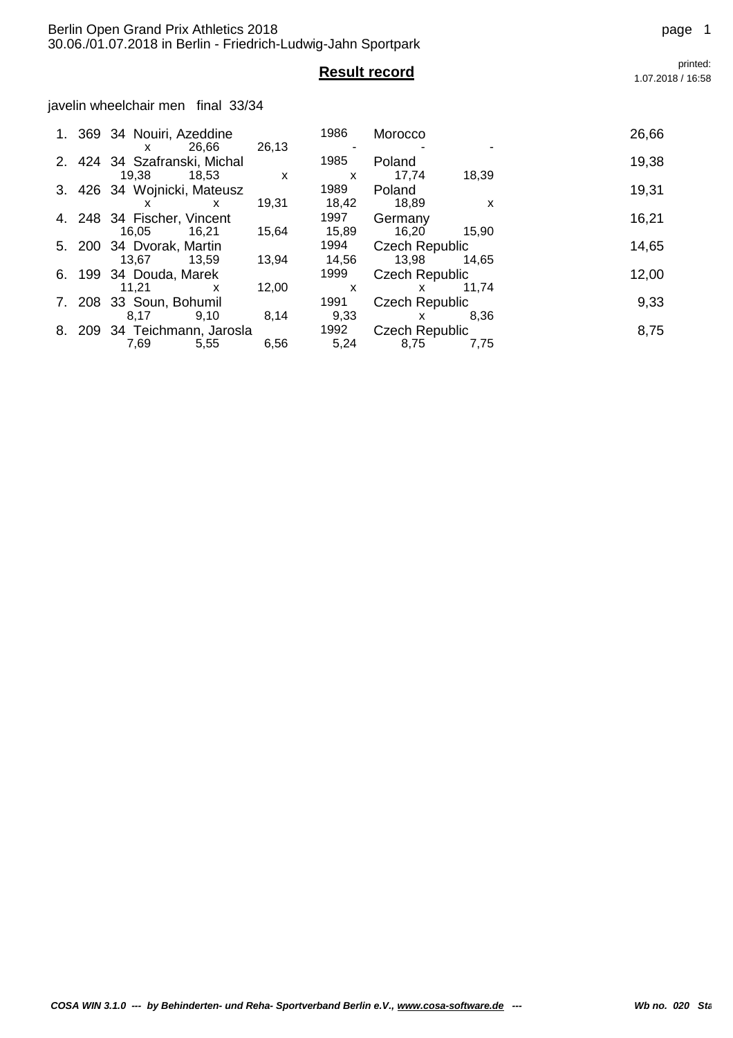javelin wheelchair men final 33/34

|    |     | 2. 424 34 Szafranski, Michal |       | 1985  | Poland                | 19,38 |
|----|-----|------------------------------|-------|-------|-----------------------|-------|
|    |     | 19.38<br>18.53               | X     | X     | 17,74<br>18.39        |       |
|    |     | 3. 426 34 Wojnicki, Mateusz  |       | 1989  | Poland                | 19,31 |
|    |     | x<br>x                       | 19.31 | 18,42 | 18,89<br>X            |       |
|    |     | 4. 248 34 Fischer, Vincent   |       | 1997  | Germany               | 16,21 |
|    |     | 16,05<br>16,21               | 15,64 | 15,89 | 16,20<br>15.90        |       |
|    |     | 5. 200 34 Dvorak, Martin     |       | 1994  | <b>Czech Republic</b> | 14,65 |
|    |     | 13.67<br>13.59               | 13,94 | 14,56 | 13,98<br>14.65        |       |
|    |     | 6. 199 34 Douda, Marek       |       | 1999  | Czech Republic        | 12,00 |
|    |     | 11,21<br>x                   | 12,00 | X     | 11.74<br>x            |       |
|    | 208 | 33 Soun, Bohumil             |       | 1991  | <b>Czech Republic</b> | 9,33  |
|    |     | 9.10<br>8.17                 | 8,14  | 9,33  | 8.36<br>X             |       |
| 8. | 209 | 34 Teichmann, Jarosla        |       | 1992  | Czech Republic        | 8,75  |
|    |     | 7,69<br>5,55                 | 6,56  | 5,24  | 8,75<br>7,75          |       |

*COSA WIN* 3.1.0 --- by Behinderten- und Reha- Sportverband Berlin e.V., www.cosa-software.de --- Wh no. 020 Startclass 076

1.07.2018 / 16:58

**Result record** printed:<br>1.07.2018/16:58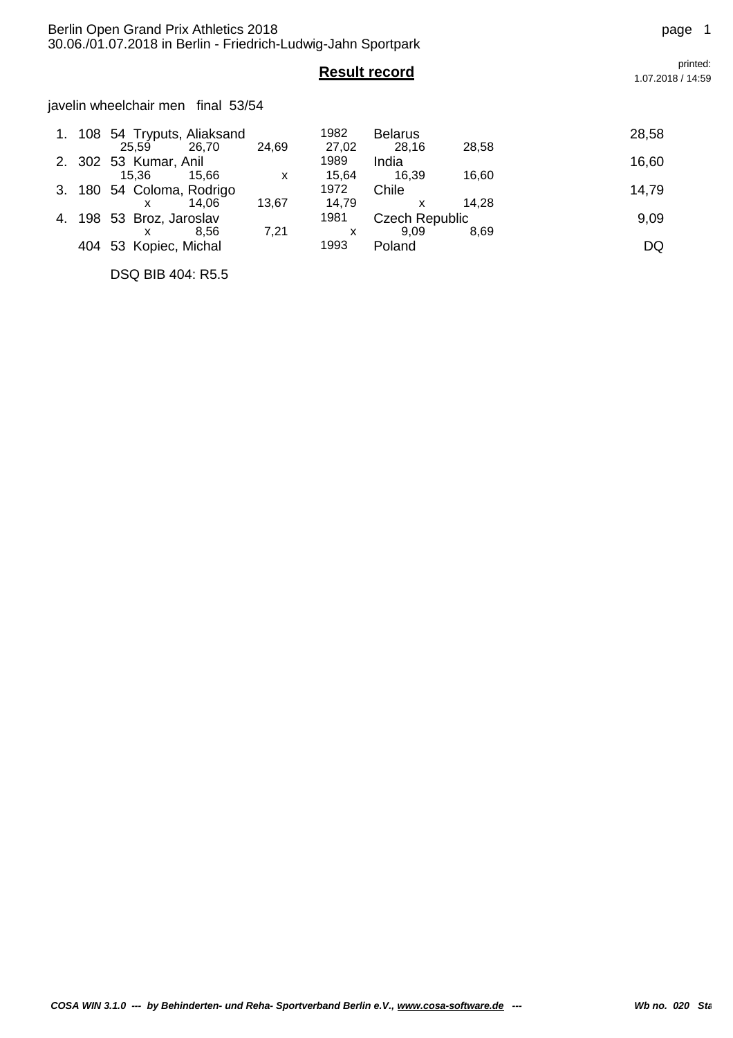javelin wheelchair men final 53/54

|  | 1. 108 54 Tryputs, Aliaksand<br>25.59<br>26.70 | 24,69 | 1982<br>27,02 | <b>Belarus</b><br>28.16 | 28,58 | 28,58 |
|--|------------------------------------------------|-------|---------------|-------------------------|-------|-------|
|  | 2. 302 53 Kumar, Anil                          |       | 1989          | India                   |       | 16,60 |
|  | 15.66<br>15.36                                 | X     | 15.64         | 16.39                   | 16,60 |       |
|  | 3. 180 54 Coloma, Rodrigo                      |       | 1972          | Chile                   |       | 14,79 |
|  | 14.06<br>x                                     | 13,67 | 14.79         |                         | 14.28 |       |
|  | 4. 198 53 Broz, Jaroslav                       |       | 1981          | <b>Czech Republic</b>   |       | 9,09  |
|  | 8.56<br>x                                      | 7,21  | x             | 9.09                    | 8,69  |       |
|  | 404 53 Kopiec, Michal                          |       | 1993          | Poland                  |       | DQ    |
|  |                                                |       |               |                         |       |       |

DSQ BIB 404: R5.5

**Result record** printed:<br>1.07.2018/14:59 1.07.2018 / 14:59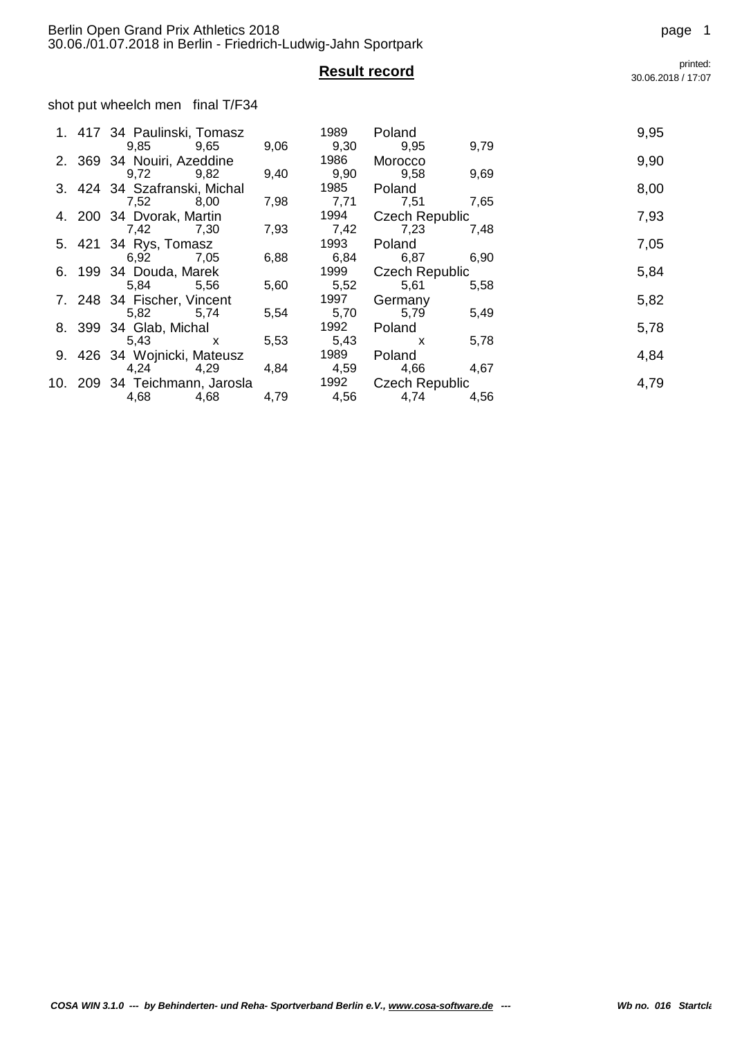shot put wheelch men final T/F34

|  | 1. 417 34 Paulinski, Tomasz   |      | 1989 | Poland                |      | 9,95 |
|--|-------------------------------|------|------|-----------------------|------|------|
|  | 9,85 9,65                     | 9,06 | 9,30 | 9,95                  | 9,79 |      |
|  | 2. 369 34 Nouiri, Azeddine    |      | 1986 | Morocco               |      | 9,90 |
|  | 9,72<br>9,82                  | 9,40 | 9,90 | 9,58                  | 9,69 |      |
|  | 3. 424 34 Szafranski, Michal  |      | 1985 | Poland                |      | 8,00 |
|  | 7,52<br>8,00                  | 7,98 | 7,71 | 7,51                  | 7,65 |      |
|  | 4. 200 34 Dvorak, Martin      |      |      | 1994 Czech Republic   |      | 7,93 |
|  | 7,42<br>7,30                  | 7,93 | 7,42 | 7,23                  | 7,48 |      |
|  | 5. 421 34 Rys, Tomasz         |      | 1993 | Poland                |      | 7,05 |
|  | 6,92<br>7,05                  | 6,88 | 6,84 | 6,87                  | 6,90 |      |
|  | 6. 199 34 Douda, Marek        |      | 1999 | <b>Czech Republic</b> |      | 5,84 |
|  | 5,84<br>5,56                  | 5,60 | 5,52 | 5,61                  | 5,58 |      |
|  | 7. 248 34 Fischer, Vincent    |      | 1997 | Germany               |      | 5,82 |
|  | 5,82<br>5,74                  | 5,54 | 5,70 | 5,79                  | 5,49 |      |
|  | 8. 399 34 Glab, Michal        |      | 1992 | Poland                |      | 5,78 |
|  | 5,43<br>$\mathsf{x}$          | 5,53 | 5,43 | $\mathsf{X}$          | 5,78 |      |
|  | 9. 426 34 Wojnicki, Mateusz   |      | 1989 | Poland                |      | 4,84 |
|  | 4,24<br>4,29                  | 4,84 | 4,59 | 4,66                  | 4,67 |      |
|  | 10. 209 34 Teichmann, Jarosla |      | 1992 | <b>Czech Republic</b> |      | 4,79 |
|  | 4,68<br>4,68                  | 4,79 | 4,56 | 4,74                  | 4,56 |      |

**Result record** printed: 30.06.2018 / 17:07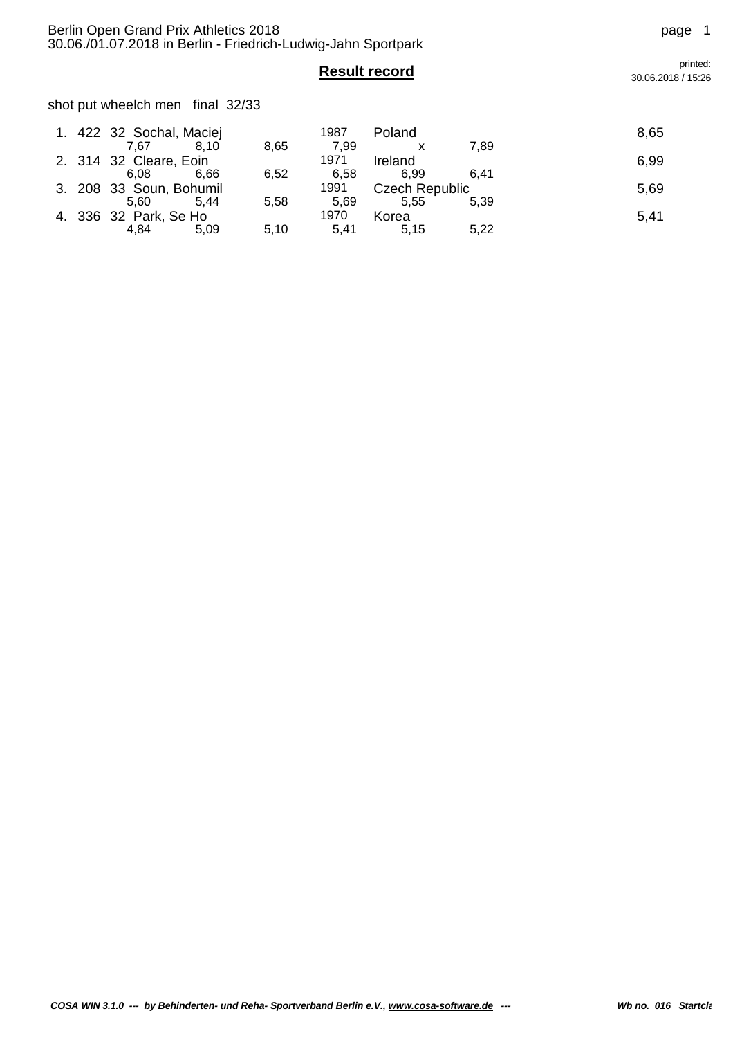shot put wheelch men final 32/33

|  | 1. 422 32 Sochal, Maciej<br>7.67 | 8.10 | 8,65 | 1987<br>7.99 | Poland                | 7.89 | 8,65 |
|--|----------------------------------|------|------|--------------|-----------------------|------|------|
|  |                                  |      |      |              |                       |      |      |
|  | 2. 314 32 Cleare, Eoin           |      |      | 1971         | Ireland               |      | 6,99 |
|  | 6.08                             | 6.66 | 6,52 | 6.58         | 6.99                  | 6.41 |      |
|  | 3. 208 33 Soun, Bohumil          |      |      | 1991         | <b>Czech Republic</b> |      | 5,69 |
|  | 5.60                             | 5.44 | 5,58 | 5.69         | 5.55                  | 5.39 |      |
|  | 4. 336 32 Park, Se Ho            |      |      | 1970         | Korea                 |      | 5,41 |
|  | 4.84                             | 5.09 | 5,10 | 5.41         | 5.15                  | 5,22 |      |

**Result record** printed: 30.06.2018 / 15:26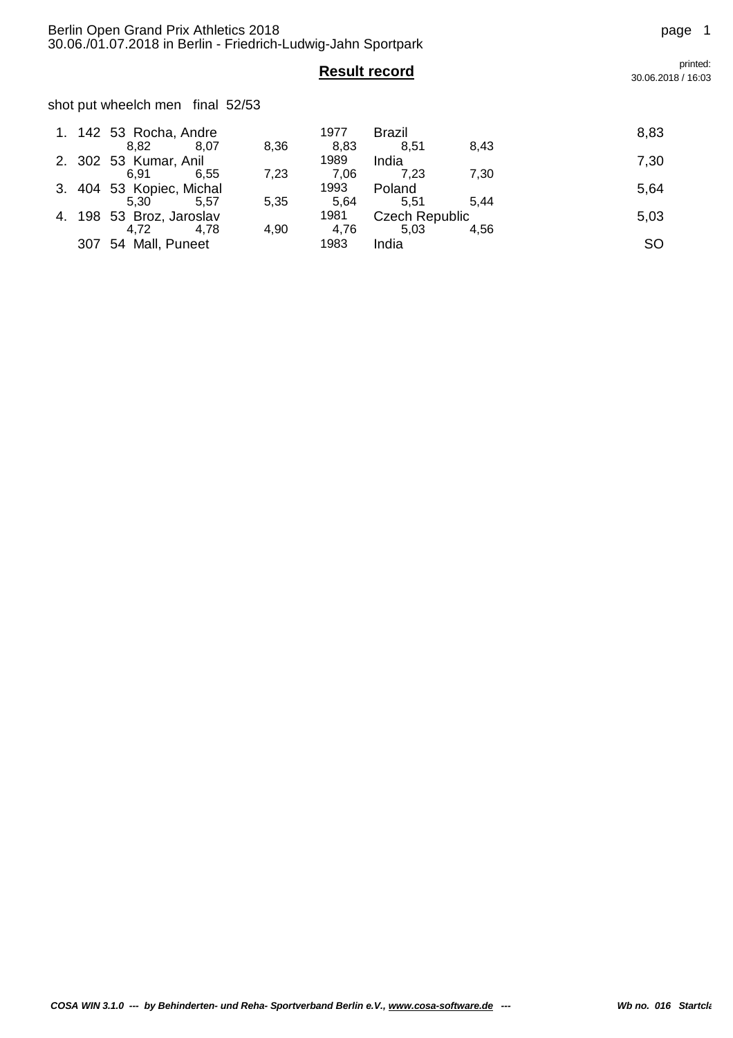## shot put wheelch men final 52/53

|     | 1. 142 53 Rocha, Andre   |      | 1977 | <b>Brazil</b>  |      | 8,83      |
|-----|--------------------------|------|------|----------------|------|-----------|
|     | 8.82<br>8.07             | 8,36 | 8.83 | 8.51           | 8.43 |           |
|     | 2. 302 53 Kumar, Anil    |      | 1989 | India          |      | 7,30      |
|     | 6.55<br>6.91             | 7,23 | 7.06 | 7.23           | 7.30 |           |
|     | 3. 404 53 Kopiec, Michal |      | 1993 | Poland         |      | 5,64      |
|     | 5.57<br>5.30             | 5,35 | 5.64 | 5.51           | 5.44 |           |
|     | 4. 198 53 Broz, Jaroslav |      | 1981 | Czech Republic |      | 5,03      |
|     | 4.78<br>4.72             | 4,90 | 4.76 | 5.03           | 4.56 |           |
| 307 | 54 Mall, Puneet          |      | 1983 | India          |      | <b>SO</b> |

## **Result record** printed: 30.06.2018 / 16:03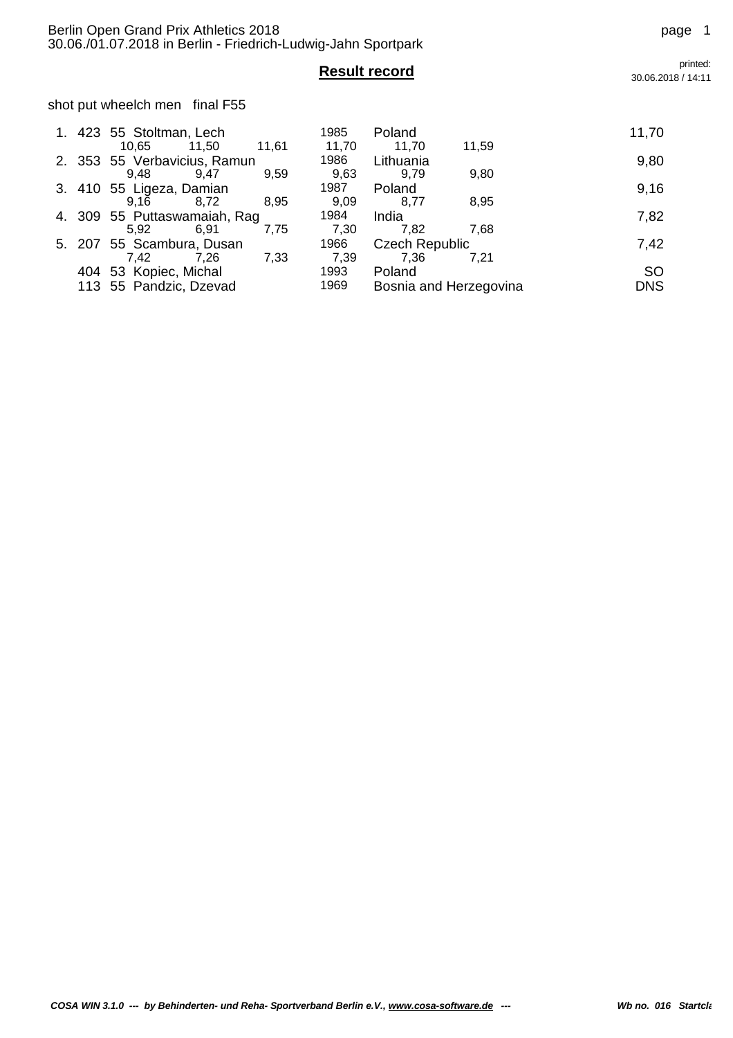# **Result record** printed:

shot put wheelch men final F55

|        | 1. 423 55 Stoltman, Lech     |       | 1985  | Poland                |                        | 11,70      |
|--------|------------------------------|-------|-------|-----------------------|------------------------|------------|
|        | 10.65<br>11.50               | 11,61 | 11,70 | 11,70                 | 11,59                  |            |
|        | 2. 353 55 Verbavicius, Ramun |       | 1986  | Lithuania             |                        | 9,80       |
|        | 9.48<br>9.47                 | 9.59  | 9,63  | 9.79                  | 9,80                   |            |
| 3. 410 | 55 Ligeza, Damian            |       | 1987  | Poland                |                        | 9,16       |
|        | 8.72<br>9.16                 | 8,95  | 9,09  | 8.77                  | 8,95                   |            |
|        | 4. 309 55 Puttaswamaiah, Rag |       | 1984  | India                 |                        | 7,82       |
|        | 5.92<br>6.91                 | 7.75  | 7,30  | 7.82                  | 7.68                   |            |
| 5. 207 | 55 Scambura, Dusan           |       | 1966  | <b>Czech Republic</b> |                        | 7,42       |
|        | 7,42<br>7.26                 | 7,33  | 7,39  | 7,36                  | 7,21                   |            |
| 404    | 53 Kopiec, Michal            |       | 1993  | Poland                |                        | <b>SO</b>  |
|        | 113 55 Pandzic, Dzevad       |       | 1969  |                       | Bosnia and Herzegovina | <b>DNS</b> |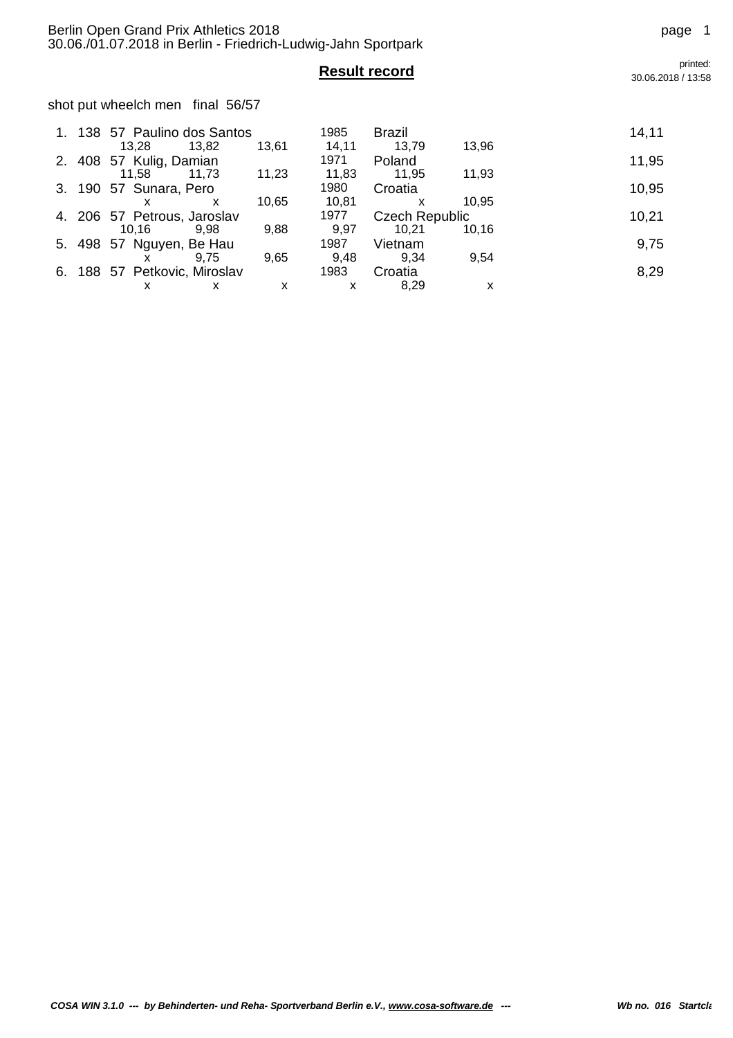# **Result record** printed:

shot put wheelch men final 56/57

|    |     | 1. 138 57 Paulino dos Santos |              | 1985  | <b>Brazil</b>         |       | 14,11 |
|----|-----|------------------------------|--------------|-------|-----------------------|-------|-------|
|    |     | 13.28<br>13,82               | 13,61        | 14,11 | 13,79                 | 13,96 |       |
| 2. | 408 | 57 Kulig, Damian             |              | 1971  | Poland                |       | 11,95 |
|    |     | 11,73<br>11.58               | 11,23        | 11,83 | 11,95                 | 11,93 |       |
| 3. | 190 | 57 Sunara, Pero              |              | 1980  | Croatia               |       | 10,95 |
|    |     | x<br>x                       | 10,65        | 10,81 | x                     | 10.95 |       |
|    |     | 4. 206 57 Petrous, Jaroslav  |              | 1977  | <b>Czech Republic</b> |       | 10,21 |
|    |     | 10.16<br>9.98                | 9,88         | 9,97  | 10,21                 | 10.16 |       |
| 5. | 498 | 57 Nguyen, Be Hau            |              | 1987  | Vietnam               |       | 9,75  |
|    |     | 9.75                         | 9.65         | 9.48  | 9.34                  | 9,54  |       |
| 6. |     | 188 57 Petkovic, Miroslav    |              | 1983  | Croatia               |       | 8,29  |
|    |     | x<br>х                       | $\mathsf{x}$ | x     | 8.29                  | х     |       |

30.06.2018 / 13:58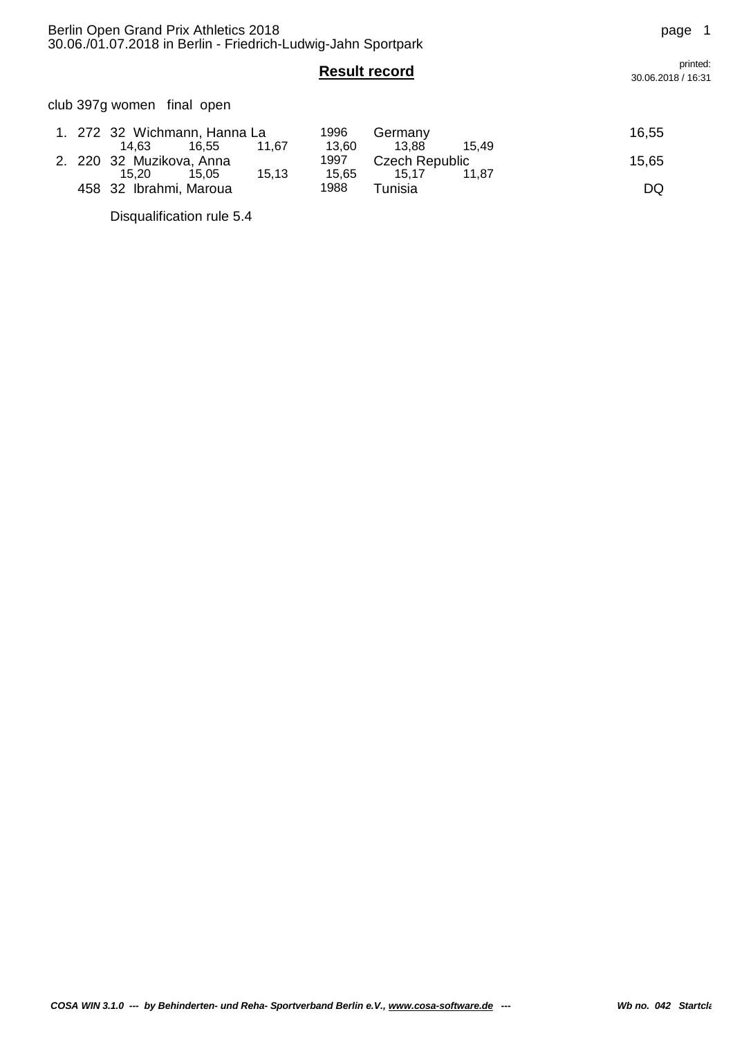club 397g women final open

|  | 1. 272 32 Wichmann, Hanna La |       |       | 1996  | Germany        |       | 16,55 |
|--|------------------------------|-------|-------|-------|----------------|-------|-------|
|  | 14.63                        | 16.55 | 11.67 | 13.60 | 13.88          | 15.49 |       |
|  | 2. 220 32 Muzikova, Anna     |       |       | 1997  | Czech Republic |       | 15,65 |
|  | 15.20                        | 15,05 | 15.13 | 15.65 | 15.17          | 11.87 |       |
|  | 458 32 Ibrahmi, Maroua       |       |       | 1988  | Tunisia        |       | DQ    |

Disqualification rule 5.4

**Result record** printed: 30.06.2018 / 16:31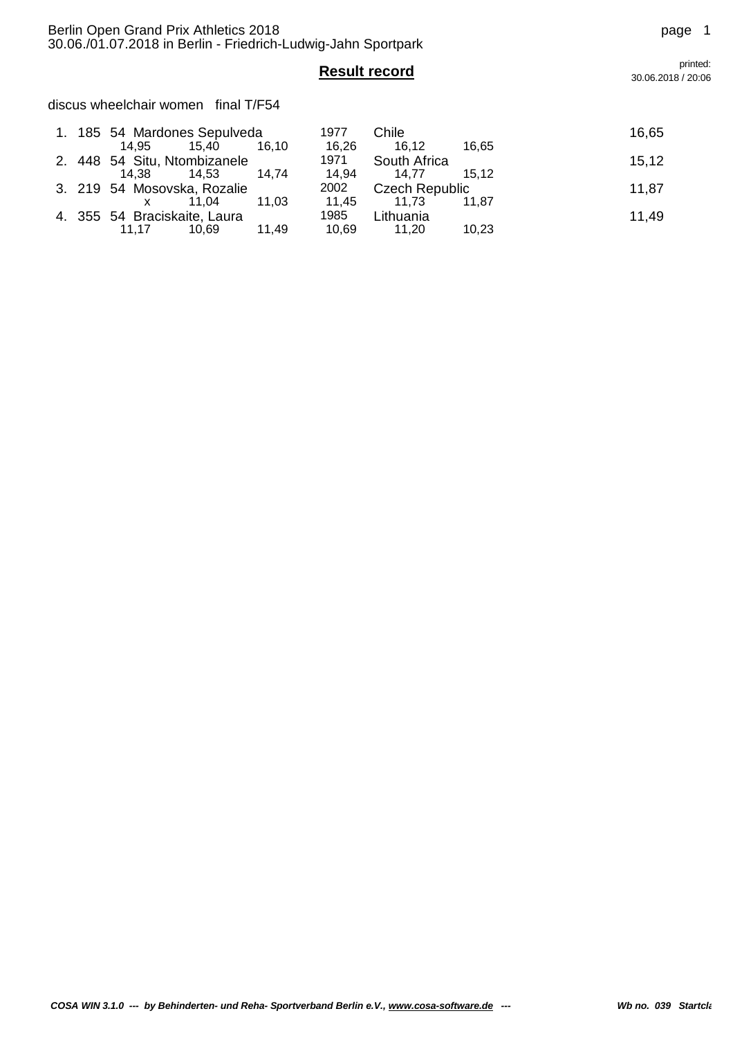discus wheelchair women final T/F54

|  | 1. 185 54 Mardones Sepulveda |       |       | 1977  | Chile                 |       | 16,65 |
|--|------------------------------|-------|-------|-------|-----------------------|-------|-------|
|  | 14.95                        | 15.40 | 16.10 | 16,26 | 16.12                 | 16.65 |       |
|  | 2. 448 54 Situ, Ntombizanele |       |       | 1971  | South Africa          |       | 15,12 |
|  | 14.38                        | 14.53 | 14.74 | 14,94 | 14.77                 | 15.12 |       |
|  | 3. 219 54 Mosovska, Rozalie  |       |       | 2002  | <b>Czech Republic</b> |       | 11,87 |
|  |                              | 11.04 | 11.03 | 11.45 | 11.73                 | 11.87 |       |
|  | 4. 355 54 Braciskaite, Laura |       |       | 1985  | Lithuania             |       | 11,49 |
|  | 11.17                        | 10.69 | 11,49 | 10,69 | 11,20                 | 10,23 |       |

**Result record** printed:<br> **Result record printed:** 30.06.2018 / 20:06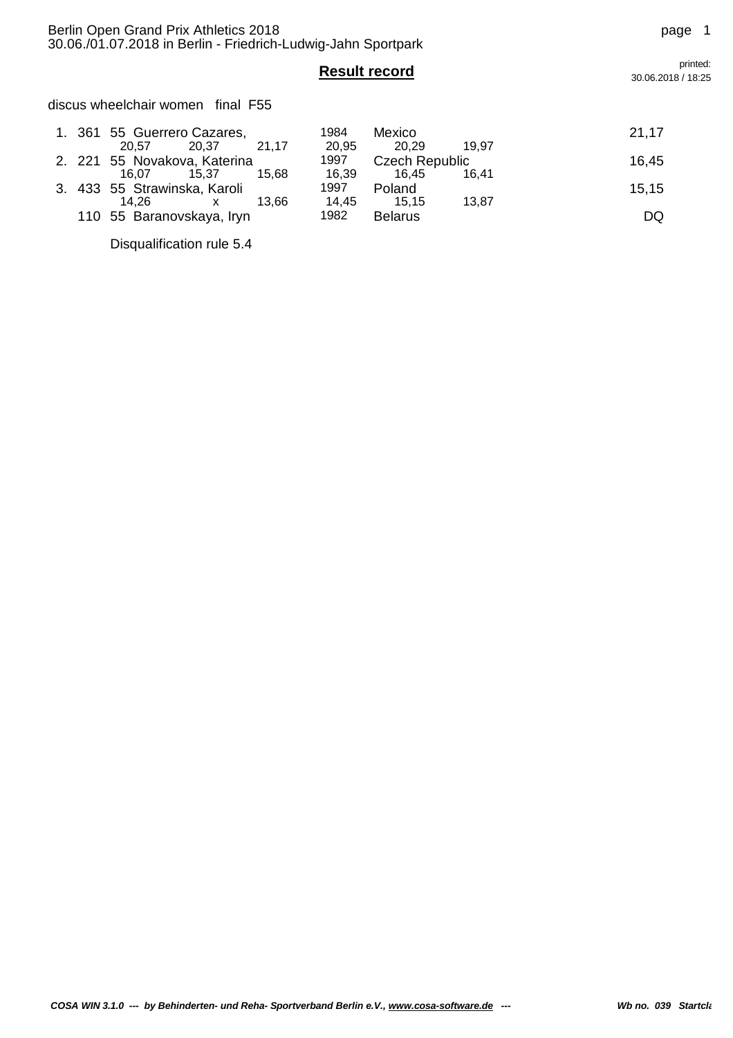discus wheelchair women final F55

|  | 1. 361 55 Guerrero Cazares,       |       |       | 1984  | Mexico                |       | 21,17 |
|--|-----------------------------------|-------|-------|-------|-----------------------|-------|-------|
|  | 20.57                             | 20.37 | 21.17 | 20.95 | 20.29                 | 19.97 |       |
|  | 2. 221 55 Novakova, Katerina      |       |       | 1997  | <b>Czech Republic</b> |       | 16,45 |
|  | 16.07                             | 15.37 | 15.68 | 16,39 | 16.45                 | 16.41 |       |
|  | 3. 433 55 Strawinska, Karoli      |       |       | 1997  | Poland                |       | 15.15 |
|  | 14.26                             | X.    | 13.66 | 14.45 | 15.15                 | 13.87 |       |
|  | 1982<br>110 55 Baranovskaya, Iryn |       |       |       | <b>Belarus</b>        |       | DQ    |

Disqualification rule 5.4

**Result record** printed: 30.06.2018 / 18:25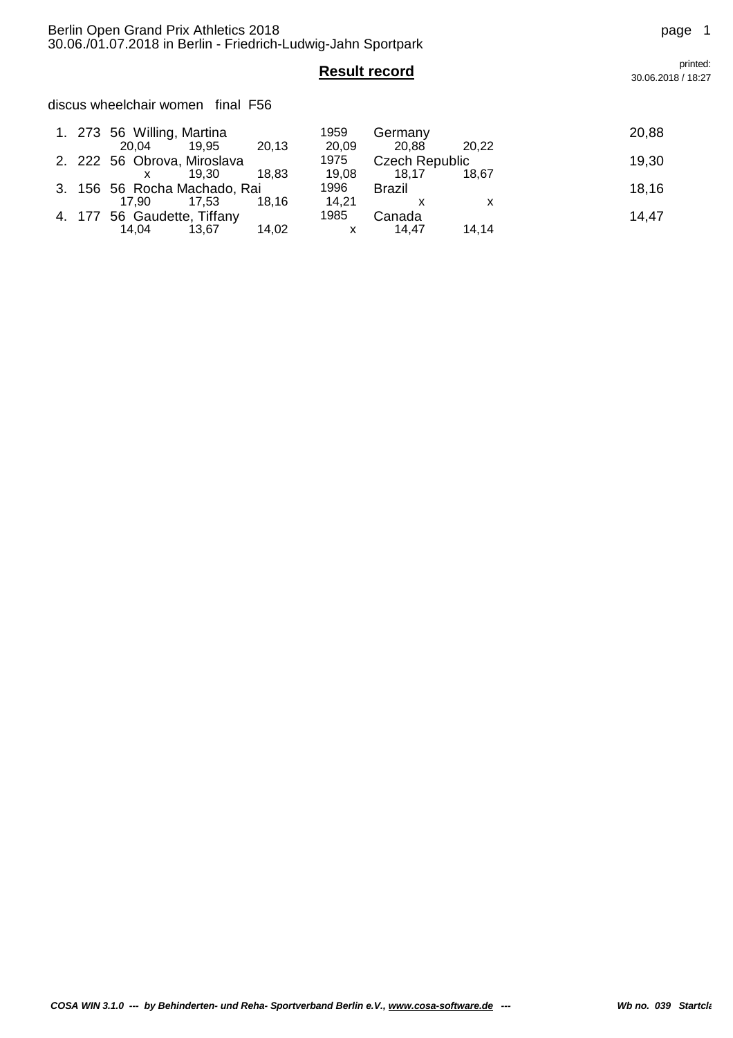discus wheelchair women final F56

|  | 1. 273 56 Willing, Martina<br>19.95<br>20.04 | 20,13          | 1959  | Germany<br>20.88      | 20,22 | 20,88 |
|--|----------------------------------------------|----------------|-------|-----------------------|-------|-------|
|  |                                              |                | 20,09 |                       |       |       |
|  | 2. 222 56 Obrova, Miroslava                  |                | 1975  | <b>Czech Republic</b> |       | 19,30 |
|  |                                              | 18.83<br>19.30 | 19,08 | 18.17                 | 18.67 |       |
|  | 3. 156 56 Rocha Machado, Rai                 |                | 1996  | Brazil                |       | 18,16 |
|  | 17.53<br>17.90                               | 18.16          | 14.21 |                       |       |       |
|  | 4. 177 56 Gaudette, Tiffany                  |                | 1985  | Canada                |       | 14.47 |
|  | 14.04                                        | 14,02<br>13,67 |       | 14.47                 | 14,14 |       |

**Result record** printed: 30.06.2018 / 18:27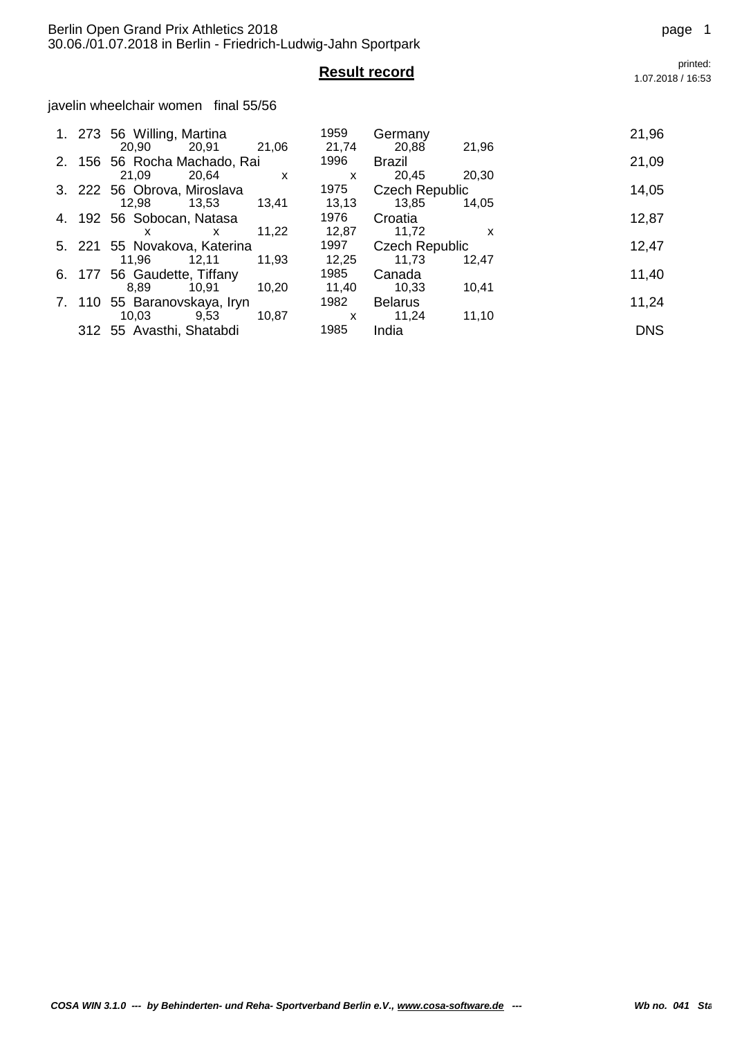javelin wheelchair women final 55/56

|  | 1. 273 56 Willing, Martina                     |       | 1959                  | Germany                        |                           | 21,96      |
|--|------------------------------------------------|-------|-----------------------|--------------------------------|---------------------------|------------|
|  | 20,91<br>20,90<br>2. 156 56 Rocha Machado, Rai | 21,06 | 21,74<br>1996         | 20,88<br>Brazil                | 21,96                     | 21,09      |
|  | 20,64<br>21.09<br>3. 222 56 Obrova, Miroslava  | X     | $\mathsf{x}$<br>1975  | 20,45<br><b>Czech Republic</b> | 20.30                     | 14,05      |
|  | 12.98<br>13.53                                 | 13,41 | 13,13                 | 13.85                          | 14,05                     |            |
|  | 4. 192 56 Sobocan, Natasa<br>X<br>x            | 11.22 | 1976<br>12,87         | Croatia<br>11.72               | $\boldsymbol{\mathsf{x}}$ | 12,87      |
|  | 5. 221 55 Novakova, Katerina                   | 1997  | <b>Czech Republic</b> |                                | 12,47                     |            |
|  | 11,96<br>12,11<br>6. 177 56 Gaudette, Tiffany  | 11,93 | 12,25<br>1985         | 11,73<br>Canada                | 12.47                     | 11,40      |
|  | 8.89<br>10,91                                  | 10,20 | 11,40                 | 10,33                          | 10,41                     |            |
|  | 7. 110 55 Baranovskaya, Iryn                   |       | 1982                  | <b>Belarus</b>                 |                           | 11,24      |
|  | 9,53<br>10,03<br>312 55 Avasthi, Shatabdi      | 10.87 | X<br>1985             | 11.24<br>India                 | 11,10                     | <b>DNS</b> |

**Result record** printed:<br>1.07.2018/16:53 1.07.2018 / 16:53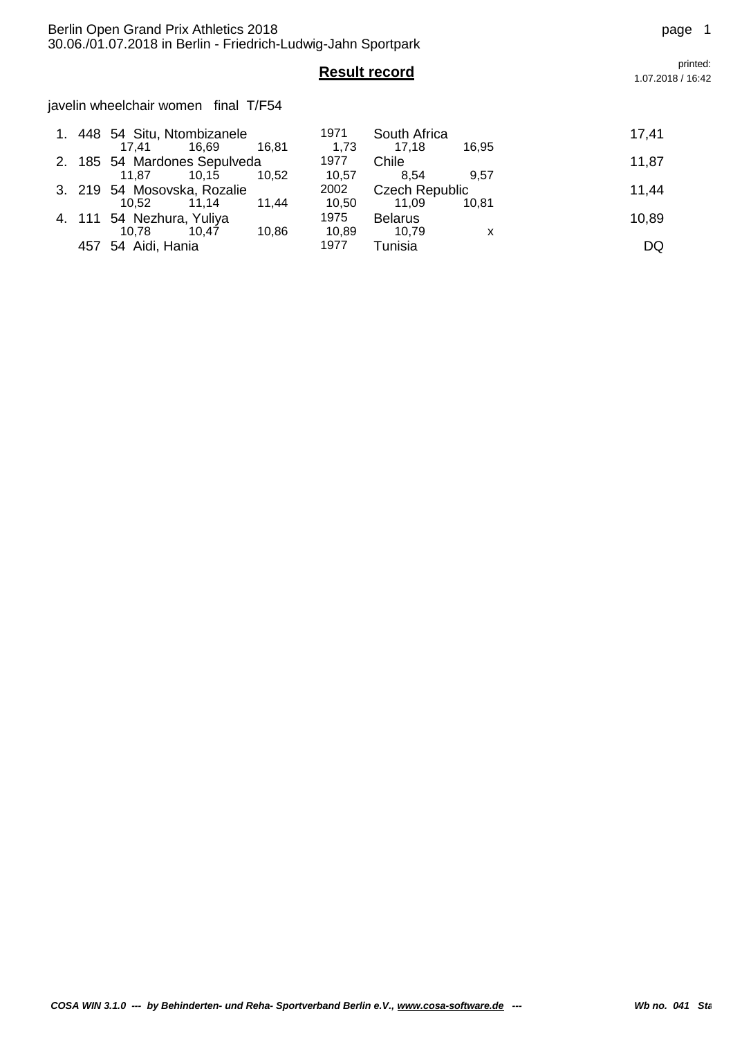## Berlin Open Grand Prix Athletics 2018 **page 1** page 1 30.06./01.07.2018 in Berlin - Friedrich-Ludwig-Jahn Sportpark

javelin wheelchair women final T/F54

|     | 1. 448 54 Situ, Ntombizanele<br>17.41 | 16.69 | 16.81 | 1971<br>1,73 | South Africa<br>17.18 | 16.95 | 17,41 |
|-----|---------------------------------------|-------|-------|--------------|-----------------------|-------|-------|
|     | 2. 185 54 Mardones Sepulveda          |       |       | 1977         | Chile                 |       | 11,87 |
|     | 11.87                                 | 10.15 | 10.52 | 10.57        | 8.54                  | 9.57  |       |
|     | 3. 219 54 Mosovska, Rozalie           |       |       | 2002         | <b>Czech Republic</b> |       | 11,44 |
|     | 10.52                                 | 11.14 | 11.44 | 10,50        | 11.09                 | 10.81 |       |
|     | 4. 111 54 Nezhura, Yuliya             |       |       | 1975         | <b>Belarus</b>        |       | 10,89 |
|     | 10.78                                 | 10.47 | 10.86 | 10.89        | 10.79                 | X     |       |
| 457 | 54 Aidi, Hania                        |       |       | 1977         | Tunisia               |       | DQ    |

**Result record** printed:<br>1.07.2018/16:42 1.07.2018 / 16:42